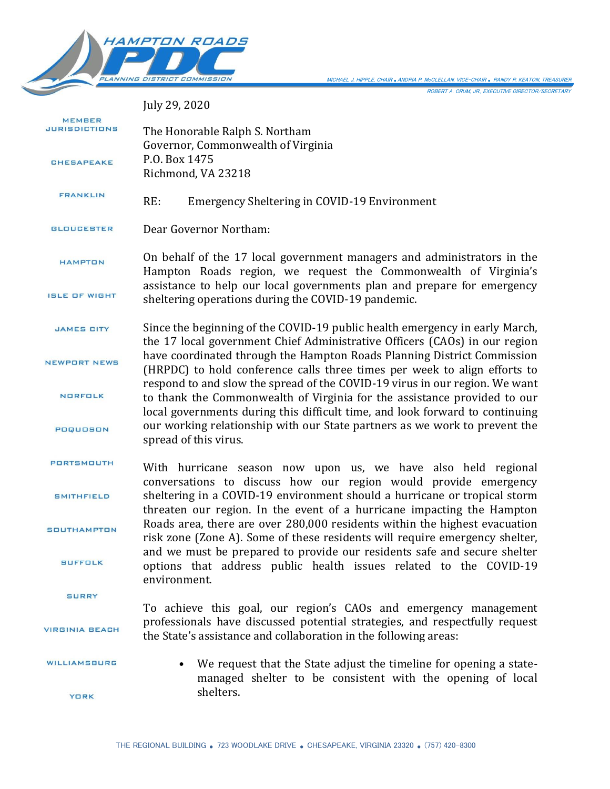

ROBERT A. CRUM, JR., EXECUTIVE DIRECTOR/SECRETARY MICHAEL J. HIPPLE, CHAIR *.*ANDRIA P. McCLELLAN, VICE-CHAIR *.* RANDY R. KEATON, TREASURER

July 29, 2020

| <b>MEMBER</b><br>JURISDICTIONS | The Honorable Ralph S. Northam                                                                                                                                                                                                      |
|--------------------------------|-------------------------------------------------------------------------------------------------------------------------------------------------------------------------------------------------------------------------------------|
| <b>CHESAPEAKE</b>              | Governor, Commonwealth of Virginia<br>P.O. Box 1475<br>Richmond, VA 23218                                                                                                                                                           |
| <b>FRANKLIN</b>                | RE:<br>Emergency Sheltering in COVID-19 Environment                                                                                                                                                                                 |
| <b>GLOUCESTER</b>              | Dear Governor Northam:                                                                                                                                                                                                              |
| <b>HAMPTON</b>                 | On behalf of the 17 local government managers and administrators in the<br>Hampton Roads region, we request the Commonwealth of Virginia's                                                                                          |
| <b>ISLE OF WIGHT</b>           | assistance to help our local governments plan and prepare for emergency<br>sheltering operations during the COVID-19 pandemic.                                                                                                      |
| <b>JAMES CITY</b>              | Since the beginning of the COVID-19 public health emergency in early March,<br>the 17 local government Chief Administrative Officers (CAOs) in our region                                                                           |
| <b>NEWPORT NEWS</b>            | have coordinated through the Hampton Roads Planning District Commission<br>(HRPDC) to hold conference calls three times per week to align efforts to<br>respond to and slow the spread of the COVID-19 virus in our region. We want |
| <b>NORFOLK</b>                 | to thank the Commonwealth of Virginia for the assistance provided to our<br>local governments during this difficult time, and look forward to continuing                                                                            |
| POQUOSON                       | our working relationship with our State partners as we work to prevent the<br>spread of this virus.                                                                                                                                 |
| PORTSMOUTH                     | With hurricane season now upon us, we have also held regional<br>conversations to discuss how our region would provide emergency                                                                                                    |
| <b>SMITHFIELD</b>              | sheltering in a COVID-19 environment should a hurricane or tropical storm<br>threaten our region. In the event of a hurricane impacting the Hampton                                                                                 |
| <b>SOUTHAMPTON</b>             | Roads area, there are over 280,000 residents within the highest evacuation<br>risk zone (Zone A). Some of these residents will require emergency shelter,                                                                           |
| <b>SUFFOLK</b>                 | and we must be prepared to provide our residents safe and secure shelter<br>options that address public health issues related to the COVID-19<br>environment.                                                                       |
| <b>SURRY</b>                   | To achieve this goal, our region's CAOs and emergency management                                                                                                                                                                    |
| <b>VIRGINIA BEACH</b>          | professionals have discussed potential strategies, and respectfully request<br>the State's assistance and collaboration in the following areas:                                                                                     |
| WILLIAMSBURG                   | We request that the State adjust the timeline for opening a state-<br>$\bullet$<br>managed shelter to be consistent with the opening of local                                                                                       |
| <b>YORK</b>                    | shelters.                                                                                                                                                                                                                           |